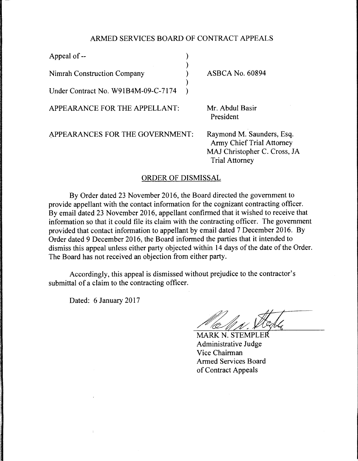## ARMED SERVICES BOARD OF CONTRACT APPEALS

)

)

Appeal of --Nimrah Construction Company ) Under Contract No. W91B4M-09-C-7174 )

APPEARANCE FOR THE APPELLANT:

ASBCA No. 60894

Mr. Abdul Basir President

APPEARANCES FOR THE GOVERNMENT:

Raymond M. Saunders, Esq. Army Chief Trial Attorney MAJ Christopher C. Cross, JA Trial Attorney

## ORDER OF DISMISSAL

By Order dated 23 November 2016, the Board directed the government to provide appellant with the contact information for the cognizant contracting officer. By email dated 23 November 2016, appellant confirmed that it wished to receive that information so that it could file its claim with the contracting officer. The government provided that contact information to appellant by email dated 7 December 2016. By Order dated 9 December 2016, the Board informed the parties that it intended to dismiss this appeal unless either party objected within 14 days of the date of the Order. The Board has not received an objection from either party.

Accordingly, this appeal is dismissed without prejudice to the contractor's submittal of a claim to the contracting officer.

Dated: 6 January 2017

MARK N. STEMPLER Administrative Judge Vice Chairman Armed Services Board of Contract Appeals